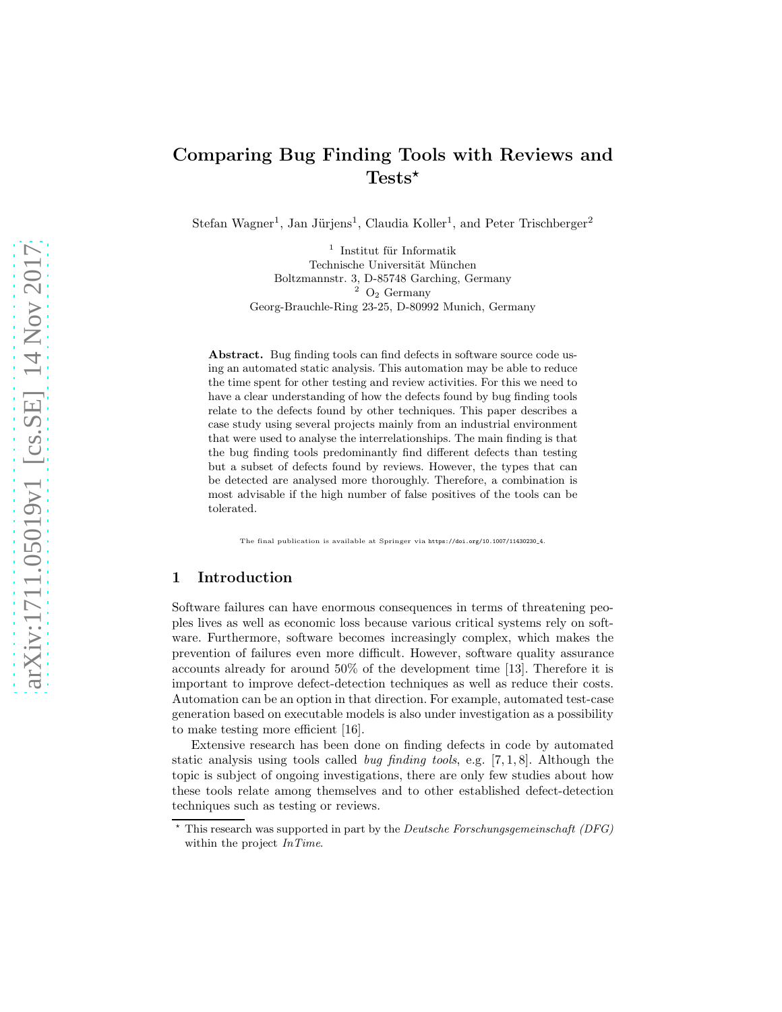# Comparing Bug Finding Tools with Reviews and  $Tests^{\star}$

Stefan Wagner<sup>1</sup>, Jan Jürjens<sup>1</sup>, Claudia Koller<sup>1</sup>, and Peter Trischberger<sup>2</sup>

 $^{\rm 1}$ Institut für Informatik Technische Universität München Boltzmannstr. 3, D-85748 Garching, Germany  $2$  O<sub>2</sub> Germany Georg-Brauchle-Ring 23-25, D-80992 Munich, Germany

Abstract. Bug finding tools can find defects in software source code using an automated static analysis. This automation may be able to reduce the time spent for other testing and review activities. For this we need to have a clear understanding of how the defects found by bug finding tools relate to the defects found by other techniques. This paper describes a case study using several projects mainly from an industrial environment that were used to analyse the interrelationships. The main finding is that the bug finding tools predominantly find different defects than testing but a subset of defects found by reviews. However, the types that can be detected are analysed more thoroughly. Therefore, a combination is most advisable if the high number of false positives of the tools can be tolerated.

The final publication is available at Springer via https://doi.org/10.1007/11430230\_4.

# 1 Introduction

Software failures can have enormous consequences in terms of threatening peoples lives as well as economic loss because various critical systems rely on software. Furthermore, software becomes increasingly complex, which makes the prevention of failures even more difficult. However, software quality assurance accounts already for around 50% of the development time [13]. Therefore it is important to improve defect-detection techniques as well as reduce their costs. Automation can be an option in that direction. For example, automated test-case generation based on executable models is also under investigation as a possibility to make testing more efficient [16].

Extensive research has been done on finding defects in code by automated static analysis using tools called bug finding tools, e.g.  $[7, 1, 8]$ . Although the topic is subject of ongoing investigations, there are only few studies about how these tools relate among themselves and to other established defect-detection techniques such as testing or reviews.

<sup>⋆</sup> This research was supported in part by the *Deutsche Forschungsgemeinschaft (DFG)* within the project *InTime*.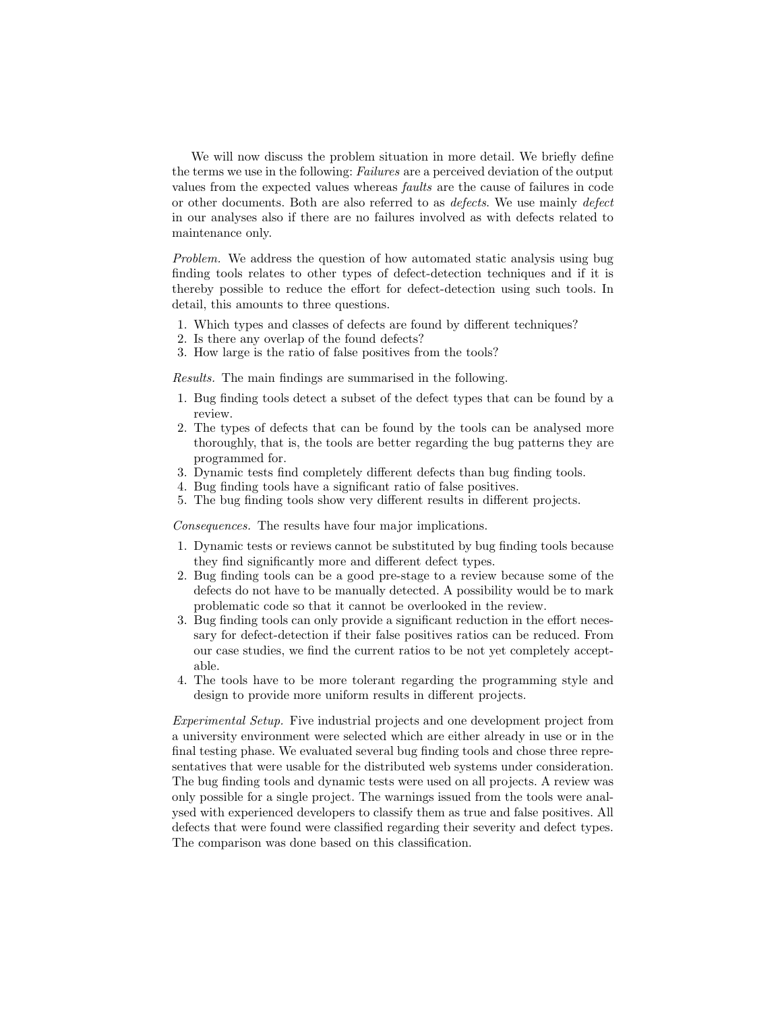We will now discuss the problem situation in more detail. We briefly define the terms we use in the following: Failures are a perceived deviation of the output values from the expected values whereas faults are the cause of failures in code or other documents. Both are also referred to as defects. We use mainly defect in our analyses also if there are no failures involved as with defects related to maintenance only.

Problem. We address the question of how automated static analysis using bug finding tools relates to other types of defect-detection techniques and if it is thereby possible to reduce the effort for defect-detection using such tools. In detail, this amounts to three questions.

- 1. Which types and classes of defects are found by different techniques?
- 2. Is there any overlap of the found defects?
- 3. How large is the ratio of false positives from the tools?

Results. The main findings are summarised in the following.

- 1. Bug finding tools detect a subset of the defect types that can be found by a review.
- 2. The types of defects that can be found by the tools can be analysed more thoroughly, that is, the tools are better regarding the bug patterns they are programmed for.
- 3. Dynamic tests find completely different defects than bug finding tools.
- 4. Bug finding tools have a significant ratio of false positives.
- 5. The bug finding tools show very different results in different projects.

Consequences. The results have four major implications.

- 1. Dynamic tests or reviews cannot be substituted by bug finding tools because they find significantly more and different defect types.
- 2. Bug finding tools can be a good pre-stage to a review because some of the defects do not have to be manually detected. A possibility would be to mark problematic code so that it cannot be overlooked in the review.
- 3. Bug finding tools can only provide a significant reduction in the effort necessary for defect-detection if their false positives ratios can be reduced. From our case studies, we find the current ratios to be not yet completely acceptable.
- 4. The tools have to be more tolerant regarding the programming style and design to provide more uniform results in different projects.

Experimental Setup. Five industrial projects and one development project from a university environment were selected which are either already in use or in the final testing phase. We evaluated several bug finding tools and chose three representatives that were usable for the distributed web systems under consideration. The bug finding tools and dynamic tests were used on all projects. A review was only possible for a single project. The warnings issued from the tools were analysed with experienced developers to classify them as true and false positives. All defects that were found were classified regarding their severity and defect types. The comparison was done based on this classification.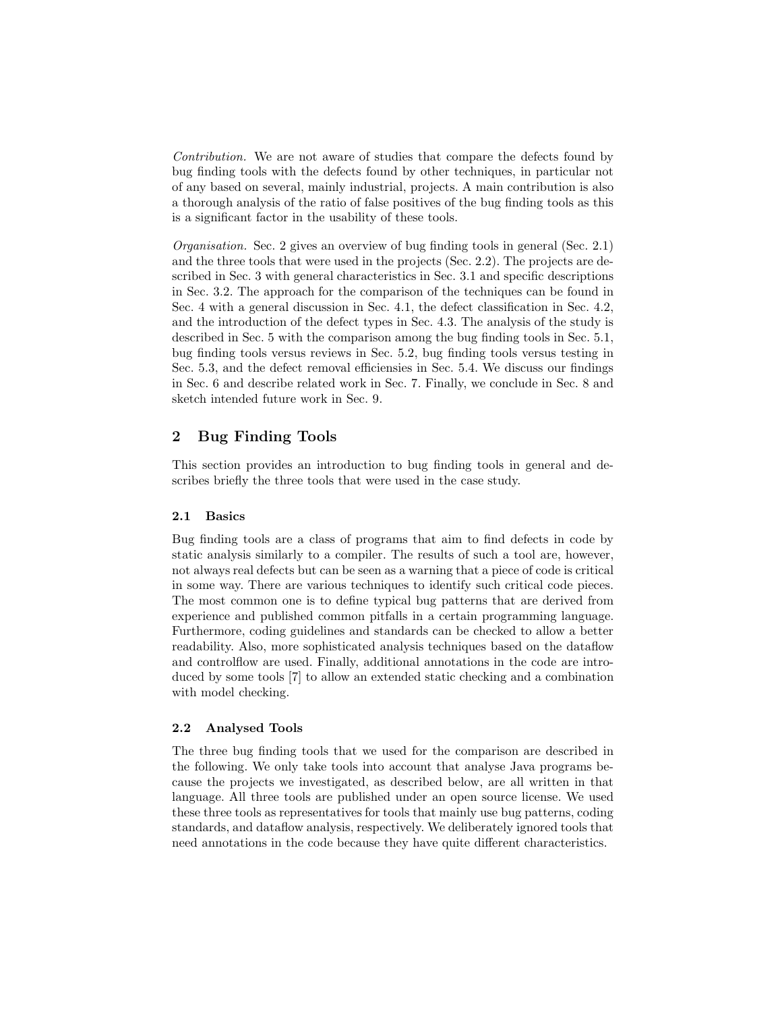Contribution. We are not aware of studies that compare the defects found by bug finding tools with the defects found by other techniques, in particular not of any based on several, mainly industrial, projects. A main contribution is also a thorough analysis of the ratio of false positives of the bug finding tools as this is a significant factor in the usability of these tools.

Organisation. Sec. 2 gives an overview of bug finding tools in general (Sec. 2.1) and the three tools that were used in the projects (Sec. 2.2). The projects are described in Sec. 3 with general characteristics in Sec. 3.1 and specific descriptions in Sec. 3.2. The approach for the comparison of the techniques can be found in Sec. 4 with a general discussion in Sec. 4.1, the defect classification in Sec. 4.2, and the introduction of the defect types in Sec. 4.3. The analysis of the study is described in Sec. 5 with the comparison among the bug finding tools in Sec. 5.1, bug finding tools versus reviews in Sec. 5.2, bug finding tools versus testing in Sec. 5.3, and the defect removal efficiensies in Sec. 5.4. We discuss our findings in Sec. 6 and describe related work in Sec. 7. Finally, we conclude in Sec. 8 and sketch intended future work in Sec. 9.

# 2 Bug Finding Tools

This section provides an introduction to bug finding tools in general and describes briefly the three tools that were used in the case study.

### 2.1 Basics

Bug finding tools are a class of programs that aim to find defects in code by static analysis similarly to a compiler. The results of such a tool are, however, not always real defects but can be seen as a warning that a piece of code is critical in some way. There are various techniques to identify such critical code pieces. The most common one is to define typical bug patterns that are derived from experience and published common pitfalls in a certain programming language. Furthermore, coding guidelines and standards can be checked to allow a better readability. Also, more sophisticated analysis techniques based on the dataflow and controlflow are used. Finally, additional annotations in the code are introduced by some tools [7] to allow an extended static checking and a combination with model checking.

### 2.2 Analysed Tools

The three bug finding tools that we used for the comparison are described in the following. We only take tools into account that analyse Java programs because the projects we investigated, as described below, are all written in that language. All three tools are published under an open source license. We used these three tools as representatives for tools that mainly use bug patterns, coding standards, and dataflow analysis, respectively. We deliberately ignored tools that need annotations in the code because they have quite different characteristics.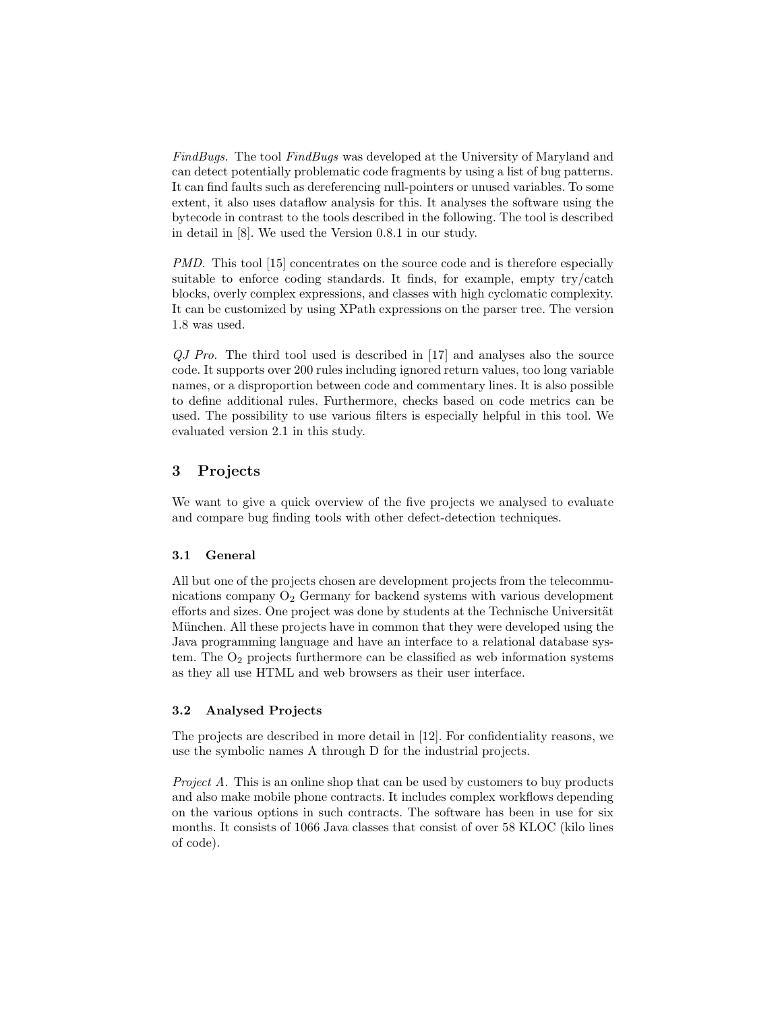FindBugs. The tool FindBugs was developed at the University of Maryland and can detect potentially problematic code fragments by using a list of bug patterns. It can find faults such as dereferencing null-pointers or unused variables. To some extent, it also uses dataflow analysis for this. It analyses the software using the bytecode in contrast to the tools described in the following. The tool is described in detail in [8]. We used the Version 0.8.1 in our study.

PMD. This tool [15] concentrates on the source code and is therefore especially suitable to enforce coding standards. It finds, for example, empty try/catch blocks, overly complex expressions, and classes with high cyclomatic complexity. It can be customized by using XPath expressions on the parser tree. The version 1.8 was used.

QJ Pro. The third tool used is described in [17] and analyses also the source code. It supports over 200 rules including ignored return values, too long variable names, or a disproportion between code and commentary lines. It is also possible to define additional rules. Furthermore, checks based on code metrics can be used. The possibility to use various filters is especially helpful in this tool. We evaluated version 2.1 in this study.

# 3 Projects

We want to give a quick overview of the five projects we analysed to evaluate and compare bug finding tools with other defect-detection techniques.

### 3.1 General

All but one of the projects chosen are development projects from the telecommunications company  $O_2$  Germany for backend systems with various development efforts and sizes. One project was done by students at the Technische Universität München. All these projects have in common that they were developed using the Java programming language and have an interface to a relational database system. The  $O_2$  projects furthermore can be classified as web information systems as they all use HTML and web browsers as their user interface.

### 3.2 Analysed Projects

The projects are described in more detail in [12]. For confidentiality reasons, we use the symbolic names A through D for the industrial projects.

Project A. This is an online shop that can be used by customers to buy products and also make mobile phone contracts. It includes complex workflows depending on the various options in such contracts. The software has been in use for six months. It consists of 1066 Java classes that consist of over 58 KLOC (kilo lines of code).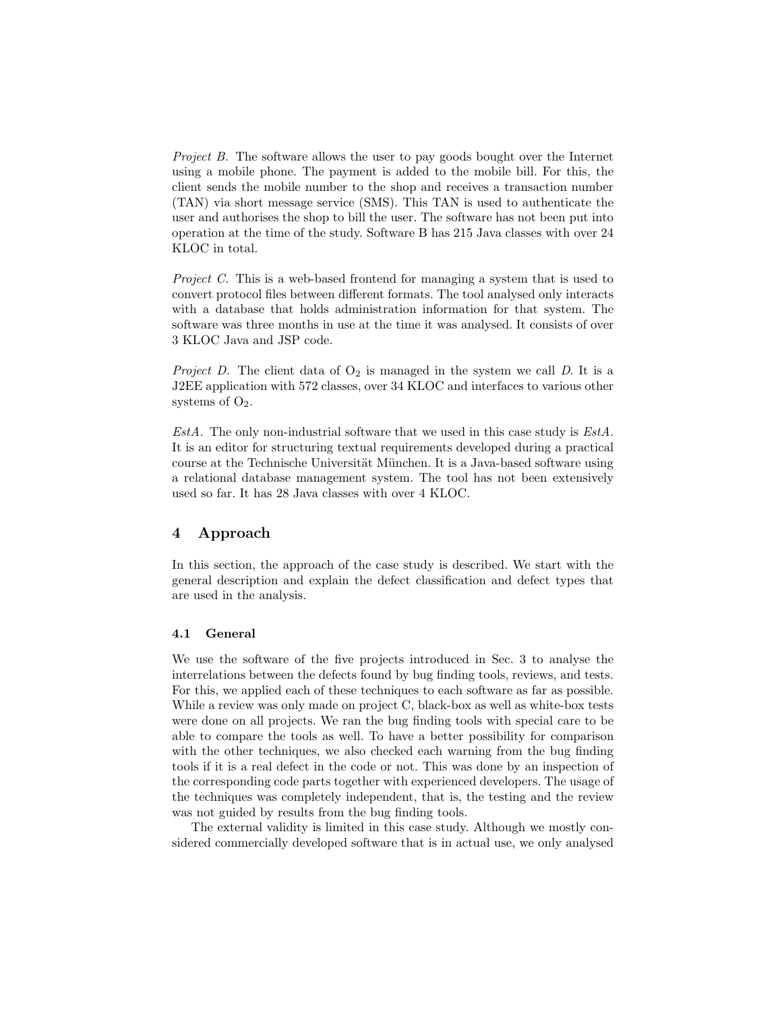Project B. The software allows the user to pay goods bought over the Internet using a mobile phone. The payment is added to the mobile bill. For this, the client sends the mobile number to the shop and receives a transaction number (TAN) via short message service (SMS). This TAN is used to authenticate the user and authorises the shop to bill the user. The software has not been put into operation at the time of the study. Software B has 215 Java classes with over 24 KLOC in total.

Project C. This is a web-based frontend for managing a system that is used to convert protocol files between different formats. The tool analysed only interacts with a database that holds administration information for that system. The software was three months in use at the time it was analysed. It consists of over 3 KLOC Java and JSP code.

*Project D.* The client data of  $O_2$  is managed in the system we call D. It is a J2EE application with 572 classes, over 34 KLOC and interfaces to various other systems of  $O_2$ .

EstA. The only non-industrial software that we used in this case study is  $EstA$ . It is an editor for structuring textual requirements developed during a practical course at the Technische Universität München. It is a Java-based software using a relational database management system. The tool has not been extensively used so far. It has 28 Java classes with over 4 KLOC.

# 4 Approach

In this section, the approach of the case study is described. We start with the general description and explain the defect classification and defect types that are used in the analysis.

#### 4.1 General

We use the software of the five projects introduced in Sec. 3 to analyse the interrelations between the defects found by bug finding tools, reviews, and tests. For this, we applied each of these techniques to each software as far as possible. While a review was only made on project C, black-box as well as white-box tests were done on all projects. We ran the bug finding tools with special care to be able to compare the tools as well. To have a better possibility for comparison with the other techniques, we also checked each warning from the bug finding tools if it is a real defect in the code or not. This was done by an inspection of the corresponding code parts together with experienced developers. The usage of the techniques was completely independent, that is, the testing and the review was not guided by results from the bug finding tools.

The external validity is limited in this case study. Although we mostly considered commercially developed software that is in actual use, we only analysed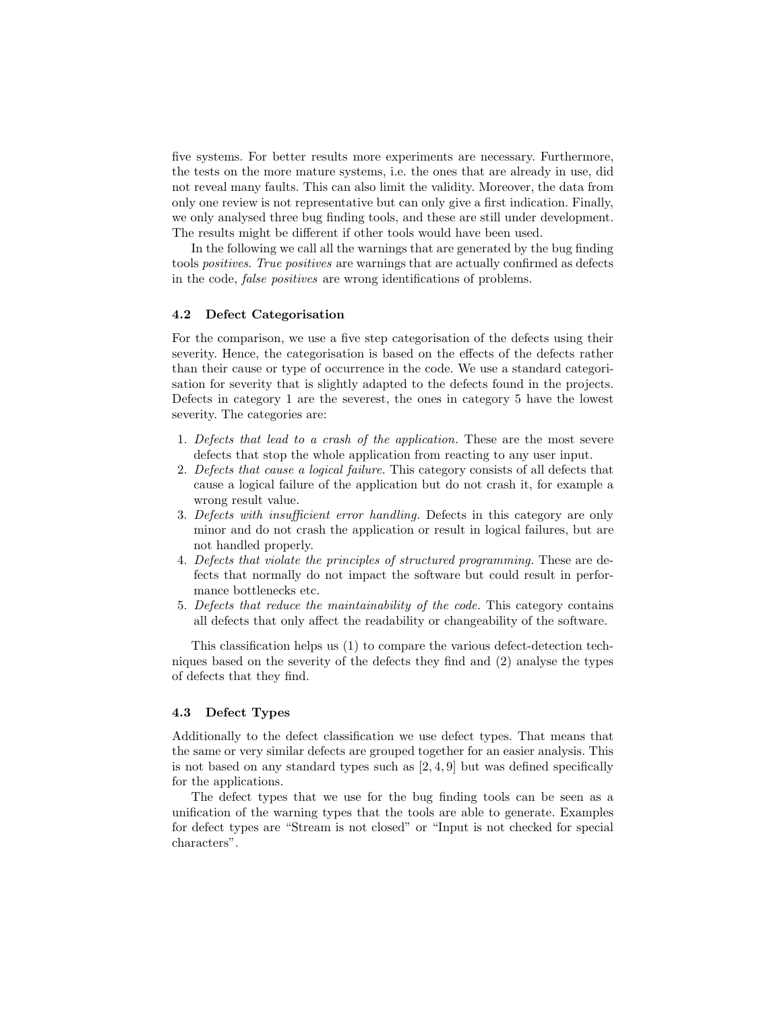five systems. For better results more experiments are necessary. Furthermore, the tests on the more mature systems, i.e. the ones that are already in use, did not reveal many faults. This can also limit the validity. Moreover, the data from only one review is not representative but can only give a first indication. Finally, we only analysed three bug finding tools, and these are still under development. The results might be different if other tools would have been used.

In the following we call all the warnings that are generated by the bug finding tools positives. True positives are warnings that are actually confirmed as defects in the code, false positives are wrong identifications of problems.

### 4.2 Defect Categorisation

For the comparison, we use a five step categorisation of the defects using their severity. Hence, the categorisation is based on the effects of the defects rather than their cause or type of occurrence in the code. We use a standard categorisation for severity that is slightly adapted to the defects found in the projects. Defects in category 1 are the severest, the ones in category 5 have the lowest severity. The categories are:

- 1. Defects that lead to a crash of the application. These are the most severe defects that stop the whole application from reacting to any user input.
- 2. Defects that cause a logical failure. This category consists of all defects that cause a logical failure of the application but do not crash it, for example a wrong result value.
- 3. Defects with insufficient error handling. Defects in this category are only minor and do not crash the application or result in logical failures, but are not handled properly.
- 4. Defects that violate the principles of structured programming. These are defects that normally do not impact the software but could result in performance bottlenecks etc.
- 5. Defects that reduce the maintainability of the code. This category contains all defects that only affect the readability or changeability of the software.

This classification helps us (1) to compare the various defect-detection techniques based on the severity of the defects they find and (2) analyse the types of defects that they find.

#### 4.3 Defect Types

Additionally to the defect classification we use defect types. That means that the same or very similar defects are grouped together for an easier analysis. This is not based on any standard types such as [2, 4, 9] but was defined specifically for the applications.

The defect types that we use for the bug finding tools can be seen as a unification of the warning types that the tools are able to generate. Examples for defect types are "Stream is not closed" or "Input is not checked for special characters".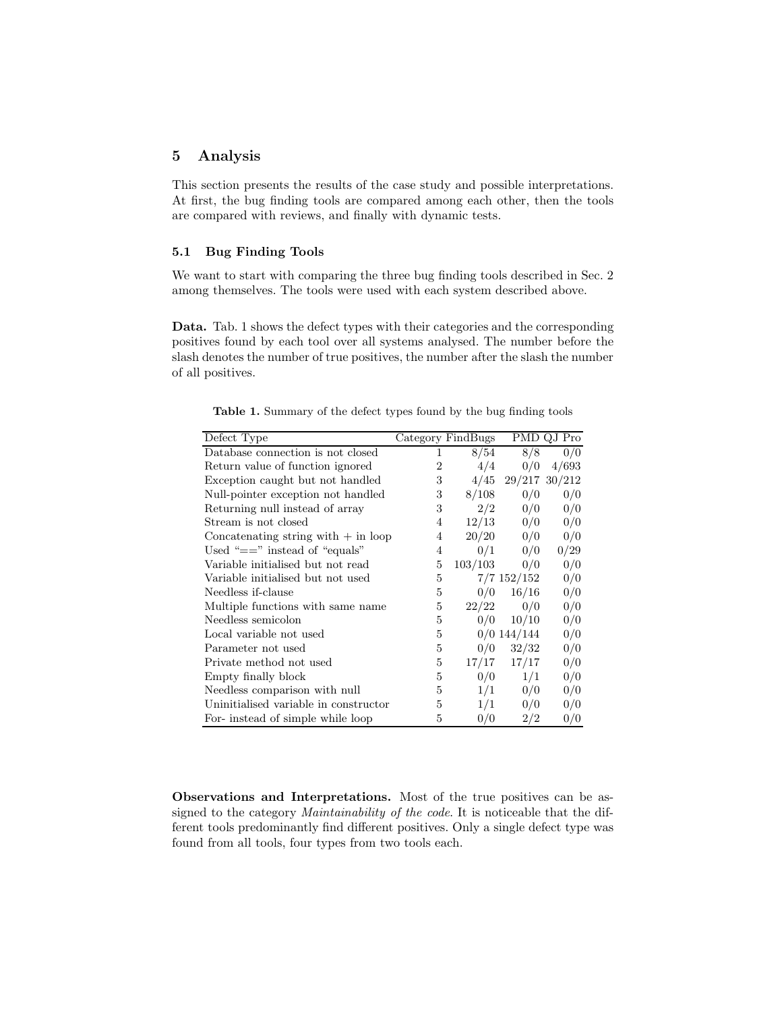# 5 Analysis

This section presents the results of the case study and possible interpretations. At first, the bug finding tools are compared among each other, then the tools are compared with reviews, and finally with dynamic tests.

# 5.1 Bug Finding Tools

We want to start with comparing the three bug finding tools described in Sec. 2 among themselves. The tools were used with each system described above.

Data. Tab. 1 shows the defect types with their categories and the corresponding positives found by each tool over all systems analysed. The number before the slash denotes the number of true positives, the number after the slash the number of all positives.

| Defect Type                           |   | Category FindBugs |               | PMD QJ Pro    |
|---------------------------------------|---|-------------------|---------------|---------------|
| Database connection is not closed     | 1 | 8/54              | 8/8           | 0/0           |
| Return value of function ignored      | 2 | 4/4               | 0/0           | 4/693         |
| Exception caught but not handled      | 3 | 4/45              |               | 29/217 30/212 |
| Null-pointer exception not handled    | 3 | 8/108             | 0/0           | 0/0           |
| Returning null instead of array       | 3 | 2/2               | 0/0           | 0/0           |
| Stream is not closed                  | 4 | 12/13             | 0/0           | 0/0           |
| Concatenating string with $+$ in loop | 4 | 20/20             | 0/0           | 0/0           |
| Used " $==$ " instead of "equals"     | 4 |                   | $0/1$ $0/0$   | 0/29          |
| Variable initialised but not read     | 5 | 103/103           | 0/0           | 0/0           |
| Variable initialised but not used     | 5 |                   | 7/7 152/152   | 0/0           |
| Needless if-clause                    | 5 | 0/0               | 16/16         | 0/0           |
| Multiple functions with same name     | 5 | 22/22             | 0/0           | 0/0           |
| Needless semicolon                    | 5 | 0/0               | 10/10         | 0/0           |
| Local variable not used               | 5 |                   | $0/0$ 144/144 | 0/0           |
| Parameter not used                    | 5 | 0/0               | 32/32         | 0/0           |
| Private method not used               | 5 | 17/17             | 17/17         | 0/0           |
| Empty finally block                   | 5 |                   | 0/0<br>1/1    | 0/0           |
| Needless comparison with null         | 5 | 1/1               | 0/0           | 0/0           |
| Uninitialised variable in constructor | 5 | 1/1               | 0/0           | 0/0           |
| For- instead of simple while loop     | 5 | 0/0               | 2/2           | 0/0           |

Table 1. Summary of the defect types found by the bug finding tools

Observations and Interpretations. Most of the true positives can be assigned to the category *Maintainability of the code*. It is noticeable that the different tools predominantly find different positives. Only a single defect type was found from all tools, four types from two tools each.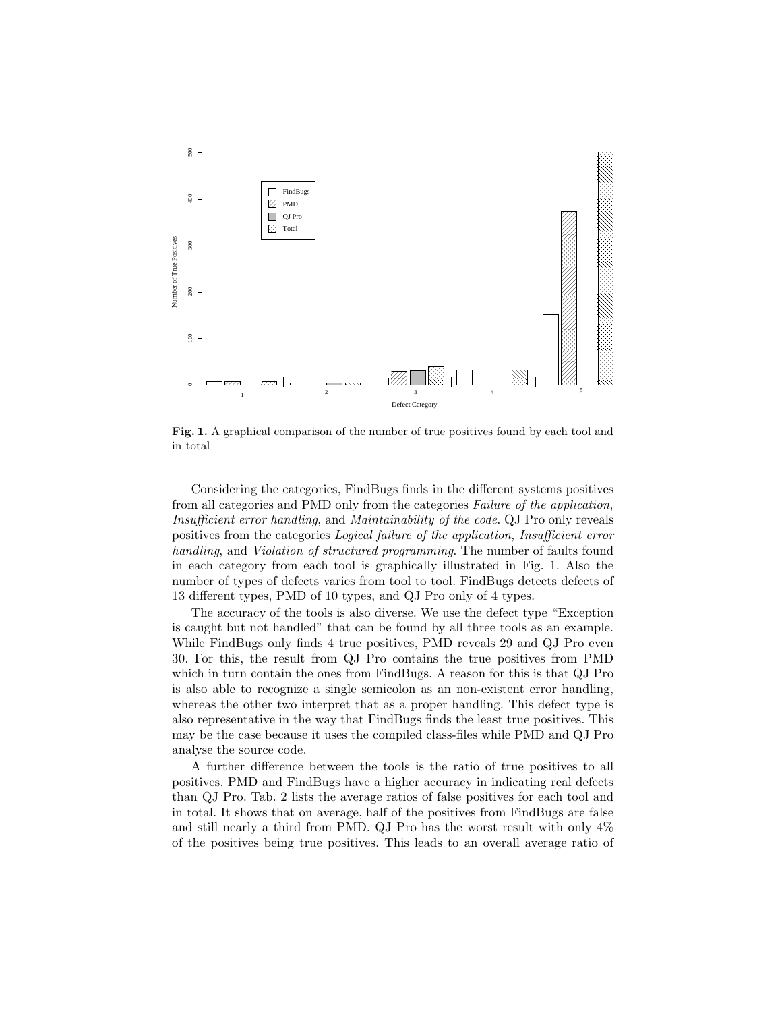

Fig. 1. A graphical comparison of the number of true positives found by each tool and in total

Considering the categories, FindBugs finds in the different systems positives from all categories and PMD only from the categories Failure of the application, Insufficient error handling, and Maintainability of the code. QJ Pro only reveals positives from the categories Logical failure of the application, Insufficient error handling, and Violation of structured programming. The number of faults found in each category from each tool is graphically illustrated in Fig. 1. Also the number of types of defects varies from tool to tool. FindBugs detects defects of 13 different types, PMD of 10 types, and QJ Pro only of 4 types.

The accuracy of the tools is also diverse. We use the defect type "Exception is caught but not handled" that can be found by all three tools as an example. While FindBugs only finds 4 true positives, PMD reveals 29 and QJ Pro even 30. For this, the result from QJ Pro contains the true positives from PMD which in turn contain the ones from FindBugs. A reason for this is that QJ Pro is also able to recognize a single semicolon as an non-existent error handling, whereas the other two interpret that as a proper handling. This defect type is also representative in the way that FindBugs finds the least true positives. This may be the case because it uses the compiled class-files while PMD and QJ Pro analyse the source code.

A further difference between the tools is the ratio of true positives to all positives. PMD and FindBugs have a higher accuracy in indicating real defects than QJ Pro. Tab. 2 lists the average ratios of false positives for each tool and in total. It shows that on average, half of the positives from FindBugs are false and still nearly a third from PMD. QJ Pro has the worst result with only 4% of the positives being true positives. This leads to an overall average ratio of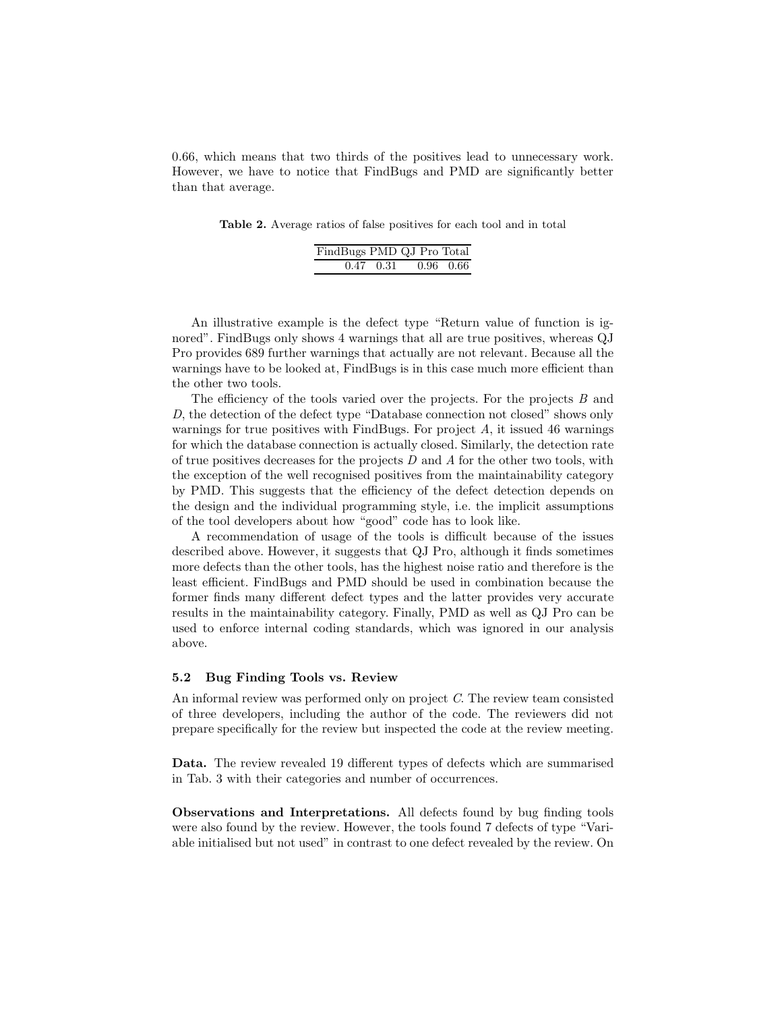0.66, which means that two thirds of the positives lead to unnecessary work. However, we have to notice that FindBugs and PMD are significantly better than that average.

Table 2. Average ratios of false positives for each tool and in total

| FindBugs PMD QJ Pro Total |               |             |
|---------------------------|---------------|-------------|
|                           | $0.47$ $0.31$ | $0.96$ 0.66 |

An illustrative example is the defect type "Return value of function is ignored". FindBugs only shows 4 warnings that all are true positives, whereas QJ Pro provides 689 further warnings that actually are not relevant. Because all the warnings have to be looked at, FindBugs is in this case much more efficient than the other two tools.

The efficiency of the tools varied over the projects. For the projects  $B$  and D, the detection of the defect type "Database connection not closed" shows only warnings for true positives with FindBugs. For project  $A$ , it issued 46 warnings for which the database connection is actually closed. Similarly, the detection rate of true positives decreases for the projects  $D$  and  $A$  for the other two tools, with the exception of the well recognised positives from the maintainability category by PMD. This suggests that the efficiency of the defect detection depends on the design and the individual programming style, i.e. the implicit assumptions of the tool developers about how "good" code has to look like.

A recommendation of usage of the tools is difficult because of the issues described above. However, it suggests that QJ Pro, although it finds sometimes more defects than the other tools, has the highest noise ratio and therefore is the least efficient. FindBugs and PMD should be used in combination because the former finds many different defect types and the latter provides very accurate results in the maintainability category. Finally, PMD as well as QJ Pro can be used to enforce internal coding standards, which was ignored in our analysis above.

#### 5.2 Bug Finding Tools vs. Review

An informal review was performed only on project C. The review team consisted of three developers, including the author of the code. The reviewers did not prepare specifically for the review but inspected the code at the review meeting.

Data. The review revealed 19 different types of defects which are summarised in Tab. 3 with their categories and number of occurrences.

Observations and Interpretations. All defects found by bug finding tools were also found by the review. However, the tools found 7 defects of type "Variable initialised but not used" in contrast to one defect revealed by the review. On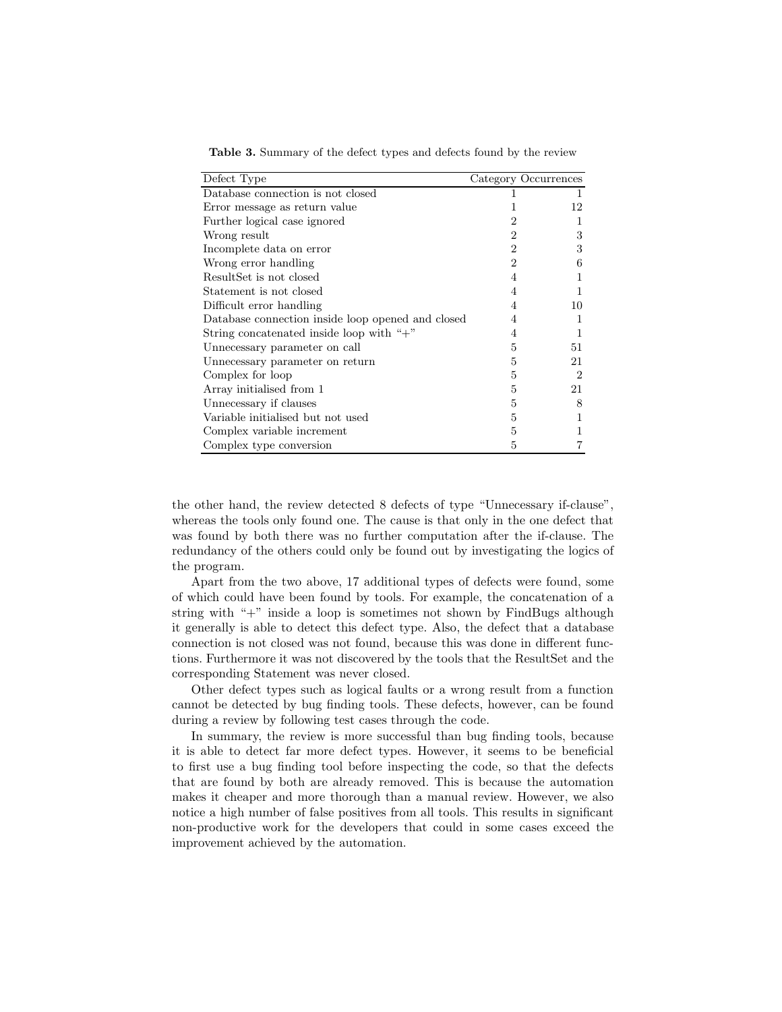| Defect Type                                       |                | Category Occurrences        |
|---------------------------------------------------|----------------|-----------------------------|
| Database connection is not closed                 |                |                             |
| Error message as return value                     |                | 12                          |
| Further logical case ignored                      | $\overline{2}$ |                             |
| Wrong result                                      | $\overline{2}$ | 3                           |
| Incomplete data on error                          | 2              | 3                           |
| Wrong error handling                              | 2              | 6                           |
| ResultSet is not closed                           | 4              |                             |
| Statement is not closed                           | 4              |                             |
| Difficult error handling                          | 4              | 10                          |
| Database connection inside loop opened and closed | 4              |                             |
| String concatenated inside loop with " $+$ "      | 4              |                             |
| Unnecessary parameter on call                     | 5              | 51                          |
| Unnecessary parameter on return                   | 5              | 21                          |
| Complex for loop                                  | 5              | $\mathcal{D}_{\mathcal{L}}$ |
| Array initialised from 1                          | 5              | 21                          |
| Unnecessary if clauses                            | 5              | 8                           |
| Variable initialised but not used                 | 5              |                             |
| Complex variable increment                        | 5              |                             |
| Complex type conversion                           | 5              |                             |

Table 3. Summary of the defect types and defects found by the review

the other hand, the review detected 8 defects of type "Unnecessary if-clause", whereas the tools only found one. The cause is that only in the one defect that was found by both there was no further computation after the if-clause. The redundancy of the others could only be found out by investigating the logics of the program.

Apart from the two above, 17 additional types of defects were found, some of which could have been found by tools. For example, the concatenation of a string with " $+$ " inside a loop is sometimes not shown by FindBugs although it generally is able to detect this defect type. Also, the defect that a database connection is not closed was not found, because this was done in different functions. Furthermore it was not discovered by the tools that the ResultSet and the corresponding Statement was never closed.

Other defect types such as logical faults or a wrong result from a function cannot be detected by bug finding tools. These defects, however, can be found during a review by following test cases through the code.

In summary, the review is more successful than bug finding tools, because it is able to detect far more defect types. However, it seems to be beneficial to first use a bug finding tool before inspecting the code, so that the defects that are found by both are already removed. This is because the automation makes it cheaper and more thorough than a manual review. However, we also notice a high number of false positives from all tools. This results in significant non-productive work for the developers that could in some cases exceed the improvement achieved by the automation.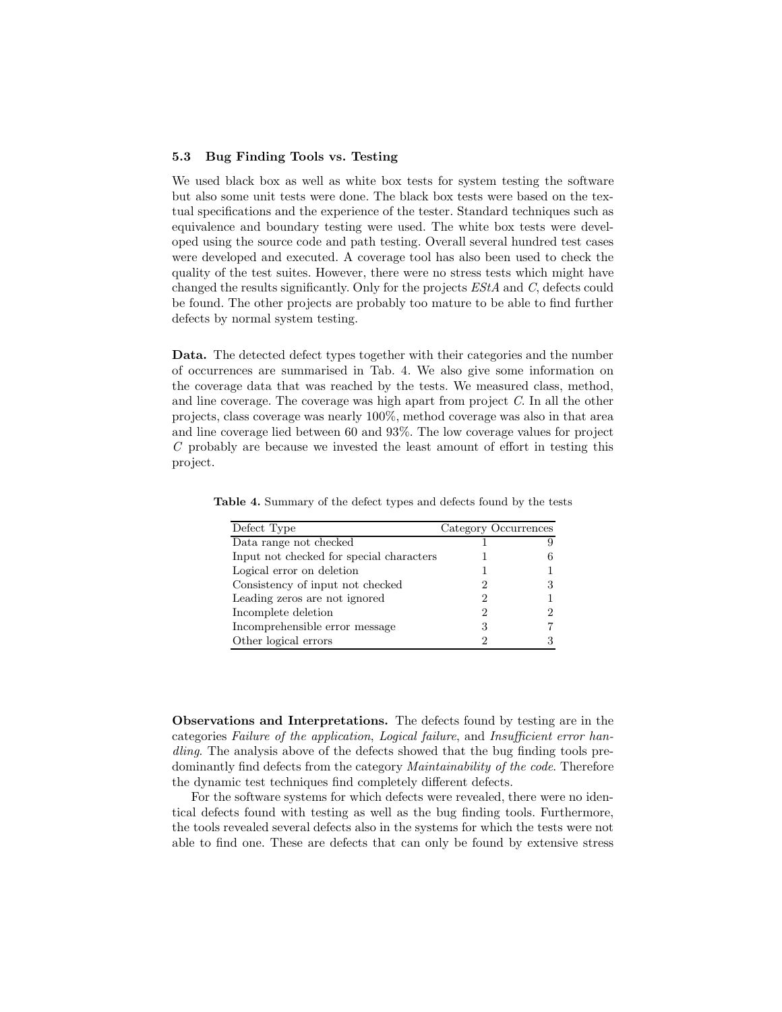### 5.3 Bug Finding Tools vs. Testing

We used black box as well as white box tests for system testing the software but also some unit tests were done. The black box tests were based on the textual specifications and the experience of the tester. Standard techniques such as equivalence and boundary testing were used. The white box tests were developed using the source code and path testing. Overall several hundred test cases were developed and executed. A coverage tool has also been used to check the quality of the test suites. However, there were no stress tests which might have changed the results significantly. Only for the projects EStA and C, defects could be found. The other projects are probably too mature to be able to find further defects by normal system testing.

Data. The detected defect types together with their categories and the number of occurrences are summarised in Tab. 4. We also give some information on the coverage data that was reached by the tests. We measured class, method, and line coverage. The coverage was high apart from project C. In all the other projects, class coverage was nearly 100%, method coverage was also in that area and line coverage lied between 60 and 93%. The low coverage values for project C probably are because we invested the least amount of effort in testing this project.

| Defect Type                              | Category Occurrences |  |
|------------------------------------------|----------------------|--|
| Data range not checked                   |                      |  |
| Input not checked for special characters |                      |  |
| Logical error on deletion                |                      |  |
| Consistency of input not checked         |                      |  |
| Leading zeros are not ignored            |                      |  |
| Incomplete deletion                      |                      |  |
| Incomprehensible error message           |                      |  |
| Other logical errors                     |                      |  |

Table 4. Summary of the defect types and defects found by the tests

Observations and Interpretations. The defects found by testing are in the categories Failure of the application, Logical failure, and Insufficient error handling. The analysis above of the defects showed that the bug finding tools predominantly find defects from the category Maintainability of the code. Therefore the dynamic test techniques find completely different defects.

For the software systems for which defects were revealed, there were no identical defects found with testing as well as the bug finding tools. Furthermore, the tools revealed several defects also in the systems for which the tests were not able to find one. These are defects that can only be found by extensive stress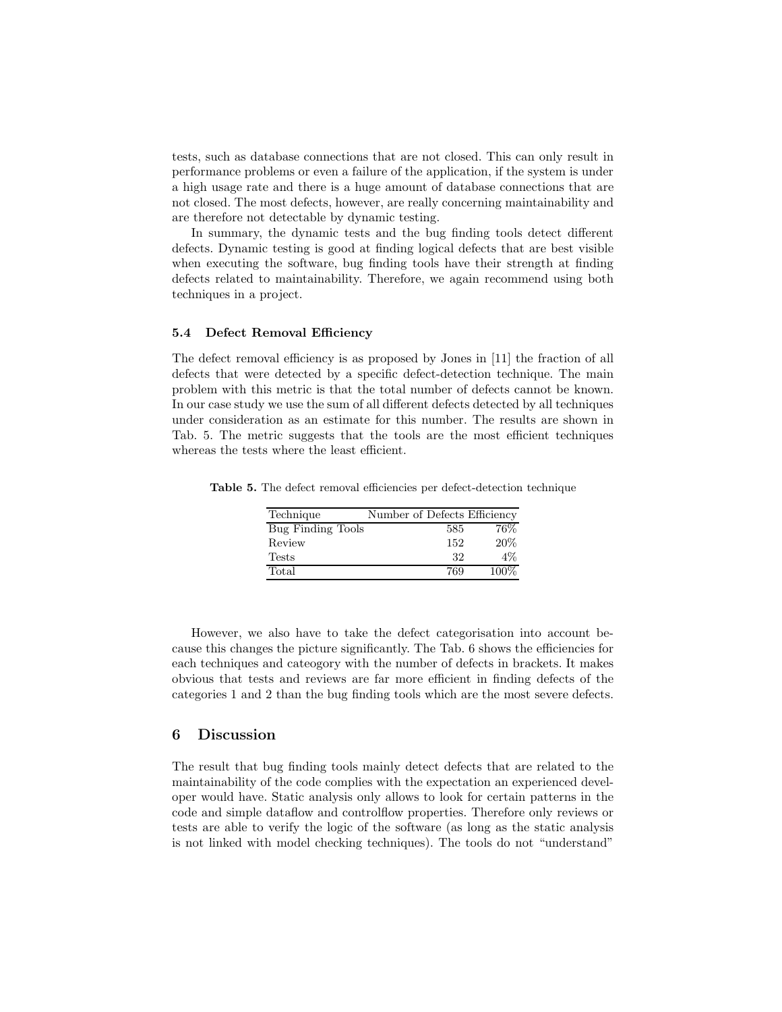tests, such as database connections that are not closed. This can only result in performance problems or even a failure of the application, if the system is under a high usage rate and there is a huge amount of database connections that are not closed. The most defects, however, are really concerning maintainability and are therefore not detectable by dynamic testing.

In summary, the dynamic tests and the bug finding tools detect different defects. Dynamic testing is good at finding logical defects that are best visible when executing the software, bug finding tools have their strength at finding defects related to maintainability. Therefore, we again recommend using both techniques in a project.

#### 5.4 Defect Removal Efficiency

The defect removal efficiency is as proposed by Jones in [11] the fraction of all defects that were detected by a specific defect-detection technique. The main problem with this metric is that the total number of defects cannot be known. In our case study we use the sum of all different defects detected by all techniques under consideration as an estimate for this number. The results are shown in Tab. 5. The metric suggests that the tools are the most efficient techniques whereas the tests where the least efficient.

Table 5. The defect removal efficiencies per defect-detection technique

| Technique         | Number of Defects Efficiency |       |
|-------------------|------------------------------|-------|
| Bug Finding Tools | 585                          | 76%   |
| Review            | 152                          | 20%   |
| <b>Tests</b>      | 32                           | $4\%$ |
| Total             | 769                          | 100%  |

However, we also have to take the defect categorisation into account because this changes the picture significantly. The Tab. 6 shows the efficiencies for each techniques and cateogory with the number of defects in brackets. It makes obvious that tests and reviews are far more efficient in finding defects of the categories 1 and 2 than the bug finding tools which are the most severe defects.

# 6 Discussion

The result that bug finding tools mainly detect defects that are related to the maintainability of the code complies with the expectation an experienced developer would have. Static analysis only allows to look for certain patterns in the code and simple dataflow and controlflow properties. Therefore only reviews or tests are able to verify the logic of the software (as long as the static analysis is not linked with model checking techniques). The tools do not "understand"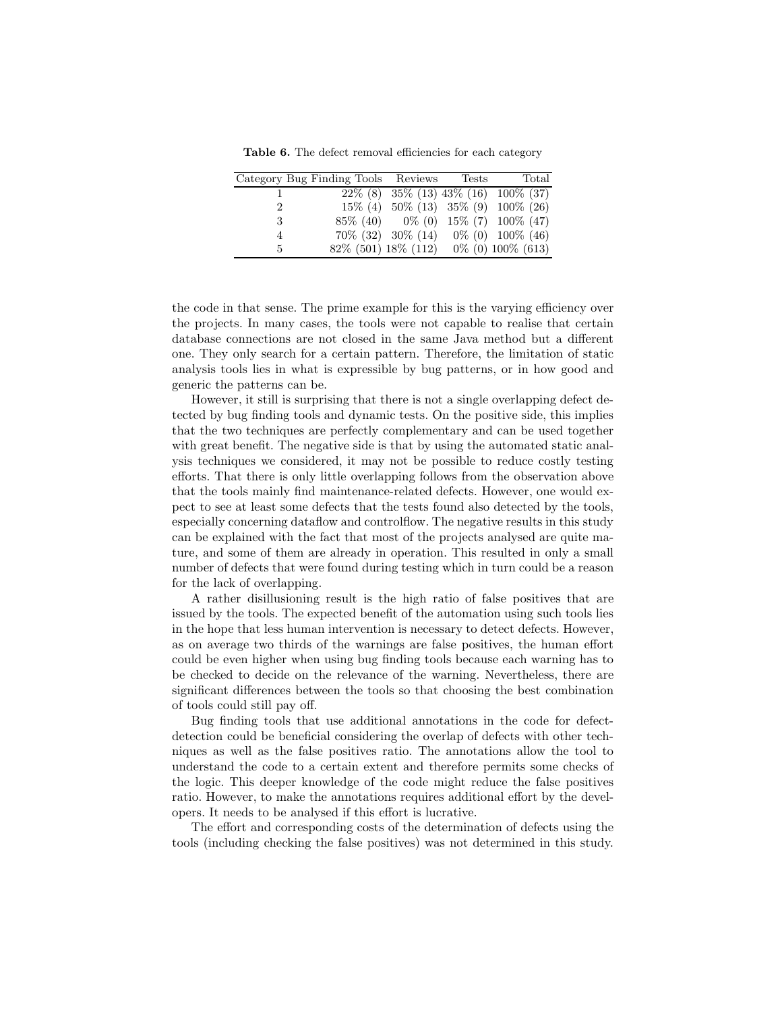Table 6. The defect removal efficiencies for each category

|   | Category Bug Finding Tools Reviews Tests |  | Total                                           |
|---|------------------------------------------|--|-------------------------------------------------|
|   |                                          |  | $22\%$ (8) $35\%$ (13) $43\%$ (16) $100\%$ (37) |
|   |                                          |  | $15\%$ (4) $50\%$ (13) $35\%$ (9) $100\%$ (26)  |
| 3 |                                          |  | $85\%$ (40) 0% (0) 15% (7) 100% (47)            |
| 4 |                                          |  | $70\%$ (32) $30\%$ (14) $0\%$ (0) $100\%$ (46)  |
| 5 | 82\% (501) 18\% (112)                    |  | $0\%$ (0) $100\%$ (613)                         |

the code in that sense. The prime example for this is the varying efficiency over the projects. In many cases, the tools were not capable to realise that certain database connections are not closed in the same Java method but a different one. They only search for a certain pattern. Therefore, the limitation of static analysis tools lies in what is expressible by bug patterns, or in how good and generic the patterns can be.

However, it still is surprising that there is not a single overlapping defect detected by bug finding tools and dynamic tests. On the positive side, this implies that the two techniques are perfectly complementary and can be used together with great benefit. The negative side is that by using the automated static analysis techniques we considered, it may not be possible to reduce costly testing efforts. That there is only little overlapping follows from the observation above that the tools mainly find maintenance-related defects. However, one would expect to see at least some defects that the tests found also detected by the tools, especially concerning dataflow and controlflow. The negative results in this study can be explained with the fact that most of the projects analysed are quite mature, and some of them are already in operation. This resulted in only a small number of defects that were found during testing which in turn could be a reason for the lack of overlapping.

A rather disillusioning result is the high ratio of false positives that are issued by the tools. The expected benefit of the automation using such tools lies in the hope that less human intervention is necessary to detect defects. However, as on average two thirds of the warnings are false positives, the human effort could be even higher when using bug finding tools because each warning has to be checked to decide on the relevance of the warning. Nevertheless, there are significant differences between the tools so that choosing the best combination of tools could still pay off.

Bug finding tools that use additional annotations in the code for defectdetection could be beneficial considering the overlap of defects with other techniques as well as the false positives ratio. The annotations allow the tool to understand the code to a certain extent and therefore permits some checks of the logic. This deeper knowledge of the code might reduce the false positives ratio. However, to make the annotations requires additional effort by the developers. It needs to be analysed if this effort is lucrative.

The effort and corresponding costs of the determination of defects using the tools (including checking the false positives) was not determined in this study.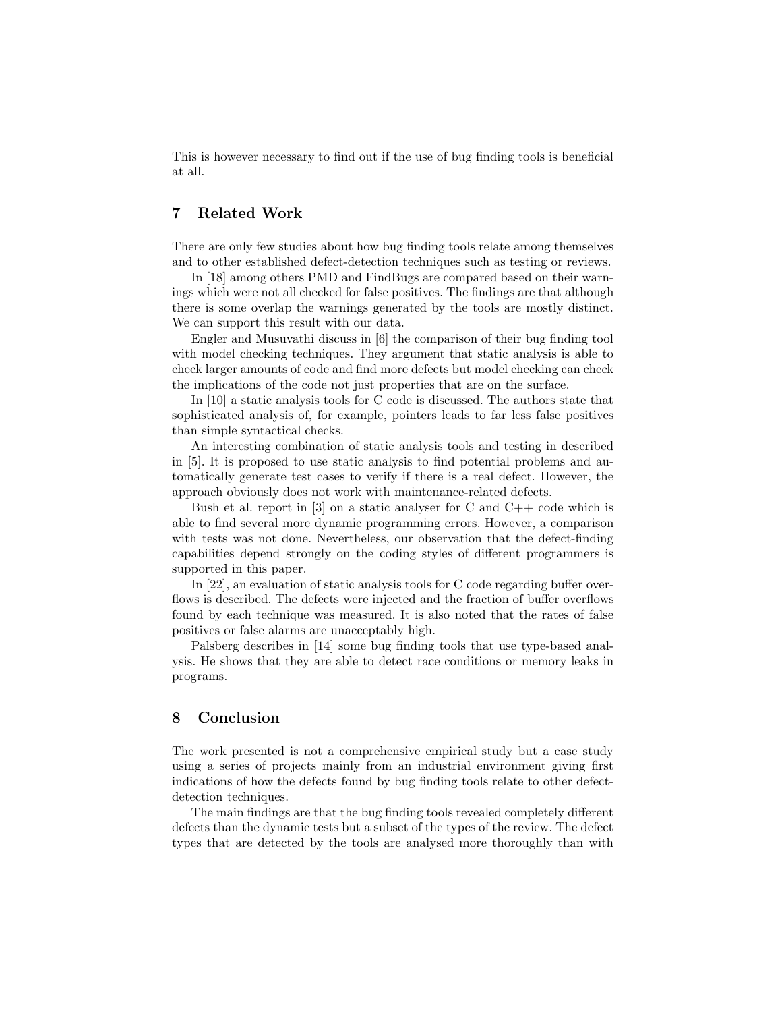This is however necessary to find out if the use of bug finding tools is beneficial at all.

# 7 Related Work

There are only few studies about how bug finding tools relate among themselves and to other established defect-detection techniques such as testing or reviews.

In [18] among others PMD and FindBugs are compared based on their warnings which were not all checked for false positives. The findings are that although there is some overlap the warnings generated by the tools are mostly distinct. We can support this result with our data.

Engler and Musuvathi discuss in [6] the comparison of their bug finding tool with model checking techniques. They argument that static analysis is able to check larger amounts of code and find more defects but model checking can check the implications of the code not just properties that are on the surface.

In [10] a static analysis tools for C code is discussed. The authors state that sophisticated analysis of, for example, pointers leads to far less false positives than simple syntactical checks.

An interesting combination of static analysis tools and testing in described in [5]. It is proposed to use static analysis to find potential problems and automatically generate test cases to verify if there is a real defect. However, the approach obviously does not work with maintenance-related defects.

Bush et al. report in  $[3]$  on a static analyser for C and  $C++$  code which is able to find several more dynamic programming errors. However, a comparison with tests was not done. Nevertheless, our observation that the defect-finding capabilities depend strongly on the coding styles of different programmers is supported in this paper.

In [22], an evaluation of static analysis tools for C code regarding buffer overflows is described. The defects were injected and the fraction of buffer overflows found by each technique was measured. It is also noted that the rates of false positives or false alarms are unacceptably high.

Palsberg describes in [14] some bug finding tools that use type-based analysis. He shows that they are able to detect race conditions or memory leaks in programs.

# 8 Conclusion

The work presented is not a comprehensive empirical study but a case study using a series of projects mainly from an industrial environment giving first indications of how the defects found by bug finding tools relate to other defectdetection techniques.

The main findings are that the bug finding tools revealed completely different defects than the dynamic tests but a subset of the types of the review. The defect types that are detected by the tools are analysed more thoroughly than with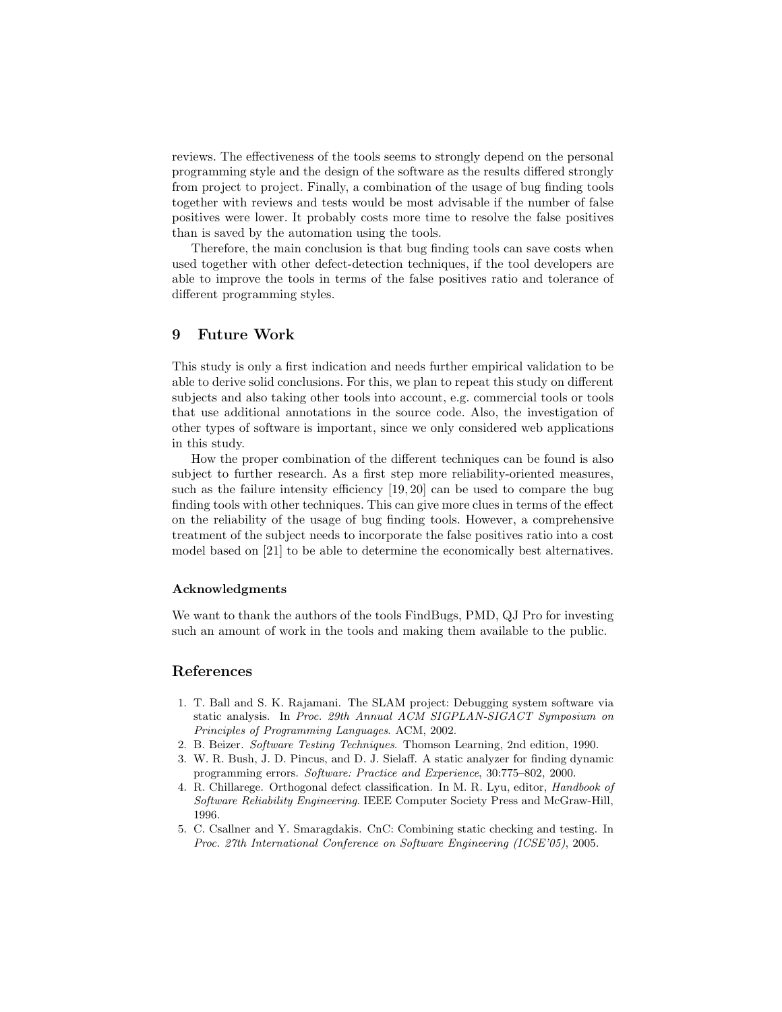reviews. The effectiveness of the tools seems to strongly depend on the personal programming style and the design of the software as the results differed strongly from project to project. Finally, a combination of the usage of bug finding tools together with reviews and tests would be most advisable if the number of false positives were lower. It probably costs more time to resolve the false positives than is saved by the automation using the tools.

Therefore, the main conclusion is that bug finding tools can save costs when used together with other defect-detection techniques, if the tool developers are able to improve the tools in terms of the false positives ratio and tolerance of different programming styles.

# 9 Future Work

This study is only a first indication and needs further empirical validation to be able to derive solid conclusions. For this, we plan to repeat this study on different subjects and also taking other tools into account, e.g. commercial tools or tools that use additional annotations in the source code. Also, the investigation of other types of software is important, since we only considered web applications in this study.

How the proper combination of the different techniques can be found is also subject to further research. As a first step more reliability-oriented measures, such as the failure intensity efficiency [19, 20] can be used to compare the bug finding tools with other techniques. This can give more clues in terms of the effect on the reliability of the usage of bug finding tools. However, a comprehensive treatment of the subject needs to incorporate the false positives ratio into a cost model based on [21] to be able to determine the economically best alternatives.

#### Acknowledgments

We want to thank the authors of the tools FindBugs, PMD, QJ Pro for investing such an amount of work in the tools and making them available to the public.

# References

- 1. T. Ball and S. K. Rajamani. The SLAM project: Debugging system software via static analysis. In *Proc. 29th Annual ACM SIGPLAN-SIGACT Symposium on Principles of Programming Languages*. ACM, 2002.
- 2. B. Beizer. *Software Testing Techniques*. Thomson Learning, 2nd edition, 1990.
- 3. W. R. Bush, J. D. Pincus, and D. J. Sielaff. A static analyzer for finding dynamic programming errors. *Software: Practice and Experience*, 30:775–802, 2000.
- 4. R. Chillarege. Orthogonal defect classification. In M. R. Lyu, editor, *Handbook of Software Reliability Engineering*. IEEE Computer Society Press and McGraw-Hill, 1996.
- 5. C. Csallner and Y. Smaragdakis. CnC: Combining static checking and testing. In *Proc. 27th International Conference on Software Engineering (ICSE'05)*, 2005.